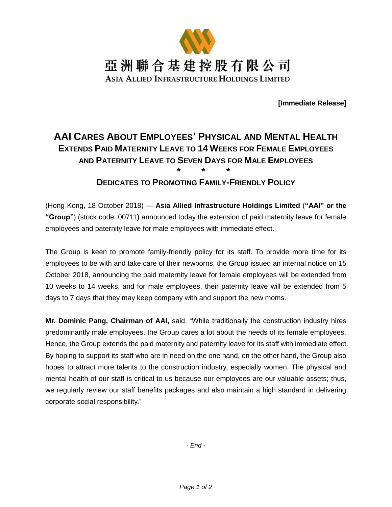

**[Immediate Release]**

## **AAI CARES ABOUT EMPLOYEES' PHYSICAL AND MENTAL HEALTH EXTENDS PAID MATERNITY LEAVE TO 14 WEEKS FOR FEMALE EMPLOYEES AND PATERNITY LEAVE TO SEVEN DAYS FOR MALE EMPLOYEES \* \* \***

## **DEDICATES TO PROMOTING FAMILY-FRIENDLY POLICY**

(Hong Kong, 18 October 2018) — **Asia Allied Infrastructure Holdings Limited** (**"AAI" or the "Group"**) (stock code: 00711) announced today the extension of paid maternity leave for female employees and paternity leave for male employees with immediate effect.

The Group is keen to promote family-friendly policy for its staff. To provide more time for its employees to be with and take care of their newborns, the Group issued an internal notice on 15 October 2018, announcing the paid maternity leave for female employees will be extended from 10 weeks to 14 weeks, and for male employees, their paternity leave will be extended from 5 days to 7 days that they may keep company with and support the new moms.

**Mr. Dominic Pang, Chairman of AAI,** said, "While traditionally the construction industry hires predominantly male employees, the Group cares a lot about the needs of its female employees. Hence, the Group extends the paid maternity and paternity leave for its staff with immediate effect. By hoping to support its staff who are in need on the one hand, on the other hand, the Group also hopes to attract more talents to the construction industry, especially women. The physical and mental health of our staff is critical to us because our employees are our valuable assets; thus, we regularly review our staff benefits packages and also maintain a high standard in delivering corporate social responsibility."

*- End -*